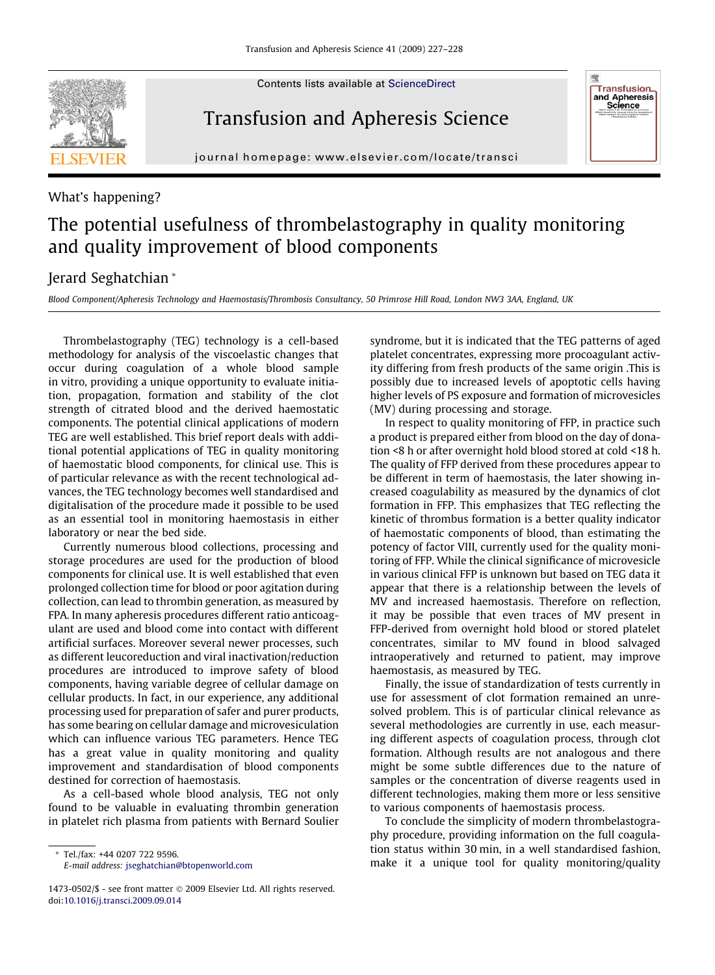Contents lists available at [ScienceDirect](http://www.sciencedirect.com/science/journal/14730502)

## Transfusion and Apheresis Science

journal homepage: [www.elsevier.com/locate/transci](http://www.elsevier.com/locate/transci)

## What's happening?

## The potential usefulness of thrombelastography in quality monitoring and quality improvement of blood components

## Jerard Seghatchian \*

Blood Component/Apheresis Technology and Haemostasis/Thrombosis Consultancy, 50 Primrose Hill Road, London NW3 3AA, England, UK

Thrombelastography (TEG) technology is a cell-based methodology for analysis of the viscoelastic changes that occur during coagulation of a whole blood sample in vitro, providing a unique opportunity to evaluate initiation, propagation, formation and stability of the clot strength of citrated blood and the derived haemostatic components. The potential clinical applications of modern TEG are well established. This brief report deals with additional potential applications of TEG in quality monitoring of haemostatic blood components, for clinical use. This is of particular relevance as with the recent technological advances, the TEG technology becomes well standardised and digitalisation of the procedure made it possible to be used as an essential tool in monitoring haemostasis in either laboratory or near the bed side.

Currently numerous blood collections, processing and storage procedures are used for the production of blood components for clinical use. It is well established that even prolonged collection time for blood or poor agitation during collection, can lead to thrombin generation, as measured by FPA. In many apheresis procedures different ratio anticoagulant are used and blood come into contact with different artificial surfaces. Moreover several newer processes, such as different leucoreduction and viral inactivation/reduction procedures are introduced to improve safety of blood components, having variable degree of cellular damage on cellular products. In fact, in our experience, any additional processing used for preparation of safer and purer products, has some bearing on cellular damage and microvesiculation which can influence various TEG parameters. Hence TEG has a great value in quality monitoring and quality improvement and standardisation of blood components destined for correction of haemostasis.

As a cell-based whole blood analysis, TEG not only found to be valuable in evaluating thrombin generation in platelet rich plasma from patients with Bernard Soulier

\* Tel./fax: +44 0207 722 9596. E-mail address: [jseghatchian@btopenworld.com](mailto:jseghatchian@btopenworld.com)

syndrome, but it is indicated that the TEG patterns of aged platelet concentrates, expressing more procoagulant activity differing from fresh products of the same origin .This is possibly due to increased levels of apoptotic cells having higher levels of PS exposure and formation of microvesicles (MV) during processing and storage.

**Transfusion** and Apheresis<br>Science

In respect to quality monitoring of FFP, in practice such a product is prepared either from blood on the day of donation <8 h or after overnight hold blood stored at cold <18 h. The quality of FFP derived from these procedures appear to be different in term of haemostasis, the later showing increased coagulability as measured by the dynamics of clot formation in FFP. This emphasizes that TEG reflecting the kinetic of thrombus formation is a better quality indicator of haemostatic components of blood, than estimating the potency of factor VIII, currently used for the quality monitoring of FFP. While the clinical significance of microvesicle in various clinical FFP is unknown but based on TEG data it appear that there is a relationship between the levels of MV and increased haemostasis. Therefore on reflection, it may be possible that even traces of MV present in FFP-derived from overnight hold blood or stored platelet concentrates, similar to MV found in blood salvaged intraoperatively and returned to patient, may improve haemostasis, as measured by TEG.

Finally, the issue of standardization of tests currently in use for assessment of clot formation remained an unresolved problem. This is of particular clinical relevance as several methodologies are currently in use, each measuring different aspects of coagulation process, through clot formation. Although results are not analogous and there might be some subtle differences due to the nature of samples or the concentration of diverse reagents used in different technologies, making them more or less sensitive to various components of haemostasis process.

To conclude the simplicity of modern thrombelastography procedure, providing information on the full coagulation status within 30 min, in a well standardised fashion, make it a unique tool for quality monitoring/quality

<sup>1473-0502/\$ -</sup> see front matter © 2009 Elsevier Ltd. All rights reserved. doi:[10.1016/j.transci.2009.09.014](http://dx.doi.org/10.1016/j.transci.2009.09.014)